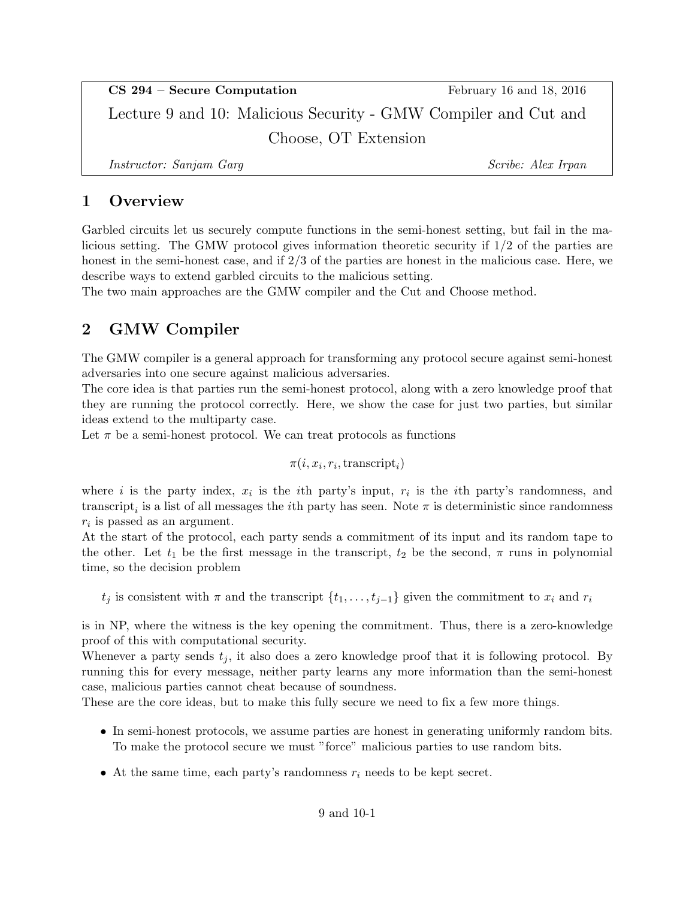CS 294 – Secure Computation February 16 and 18, 2016 Lecture 9 and 10: Malicious Security - GMW Compiler and Cut and Choose, OT Extension

Instructor: Sanjam Garg Scribe: Alex Irpan

### 1 Overview

Garbled circuits let us securely compute functions in the semi-honest setting, but fail in the malicious setting. The GMW protocol gives information theoretic security if 1/2 of the parties are honest in the semi-honest case, and if 2/3 of the parties are honest in the malicious case. Here, we describe ways to extend garbled circuits to the malicious setting.

The two main approaches are the GMW compiler and the Cut and Choose method.

## 2 GMW Compiler

The GMW compiler is a general approach for transforming any protocol secure against semi-honest adversaries into one secure against malicious adversaries.

The core idea is that parties run the semi-honest protocol, along with a zero knowledge proof that they are running the protocol correctly. Here, we show the case for just two parties, but similar ideas extend to the multiparty case.

Let  $\pi$  be a semi-honest protocol. We can treat protocols as functions

$$
\pi(i, x_i, r_i, \text{transcript}_i)
$$

where *i* is the party index,  $x_i$  is the *i*th party's input,  $r_i$  is the *i*th party's randomness, and transcript<sub>i</sub> is a list of all messages the *i*<sup>th</sup> party has seen. Note  $\pi$  is deterministic since randomness  $r_i$  is passed as an argument.

At the start of the protocol, each party sends a commitment of its input and its random tape to the other. Let  $t_1$  be the first message in the transcript,  $t_2$  be the second,  $\pi$  runs in polynomial time, so the decision problem

 $t_j$  is consistent with  $\pi$  and the transcript  $\{t_1, \ldots, t_{j-1}\}$  given the commitment to  $x_i$  and  $r_i$ 

is in NP, where the witness is the key opening the commitment. Thus, there is a zero-knowledge proof of this with computational security.

Whenever a party sends  $t_i$ , it also does a zero knowledge proof that it is following protocol. By running this for every message, neither party learns any more information than the semi-honest case, malicious parties cannot cheat because of soundness.

These are the core ideas, but to make this fully secure we need to fix a few more things.

- In semi-honest protocols, we assume parties are honest in generating uniformly random bits. To make the protocol secure we must "force" malicious parties to use random bits.
- At the same time, each party's randomness  $r_i$  needs to be kept secret.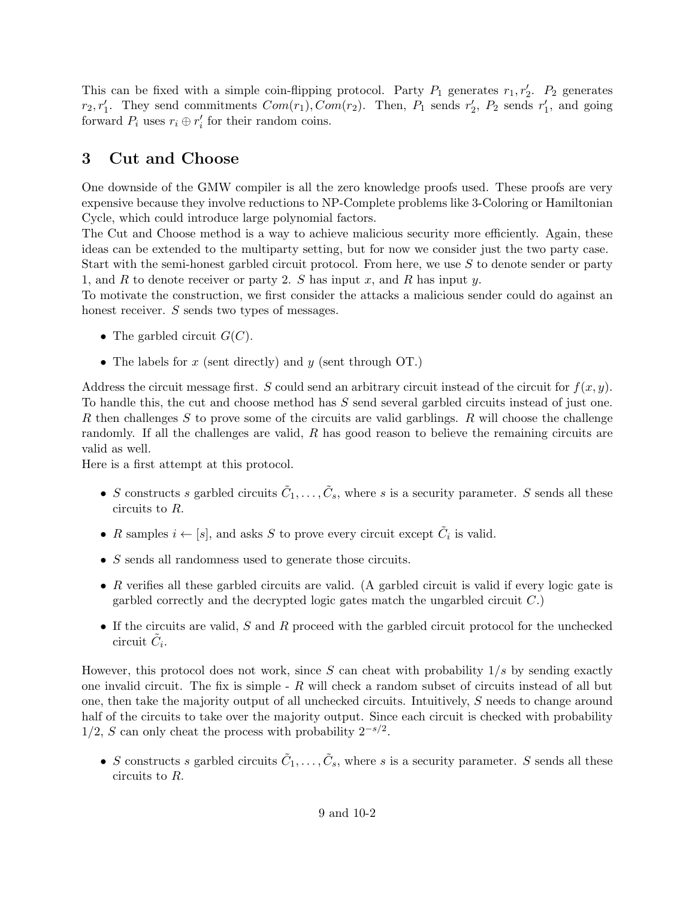This can be fixed with a simple coin-flipping protocol. Party  $P_1$  generates  $r_1, r_2'$ .  $P_2$  generates  $r_2, r'_1$ . They send commitments  $Com(r_1), Com(r_2)$ . Then,  $P_1$  sends  $r'_2$ ,  $P_2$  sends  $r'_1$ , and going forward  $P_i$  uses  $r_i \oplus r'_i$  for their random coins.

## 3 Cut and Choose

One downside of the GMW compiler is all the zero knowledge proofs used. These proofs are very expensive because they involve reductions to NP-Complete problems like 3-Coloring or Hamiltonian Cycle, which could introduce large polynomial factors.

The Cut and Choose method is a way to achieve malicious security more efficiently. Again, these ideas can be extended to the multiparty setting, but for now we consider just the two party case.

Start with the semi-honest garbled circuit protocol. From here, we use S to denote sender or party 1, and  $R$  to denote receiver or party 2.  $S$  has input  $x$ , and  $R$  has input  $y$ .

To motivate the construction, we first consider the attacks a malicious sender could do against an honest receiver. S sends two types of messages.

- The garbled circuit  $G(C)$ .
- The labels for  $x$  (sent directly) and  $y$  (sent through OT.)

Address the circuit message first. S could send an arbitrary circuit instead of the circuit for  $f(x, y)$ . To handle this, the cut and choose method has S send several garbled circuits instead of just one. R then challenges S to prove some of the circuits are valid garblings. R will choose the challenge randomly. If all the challenges are valid, R has good reason to believe the remaining circuits are valid as well.

Here is a first attempt at this protocol.

- S constructs s garbled circuits  $\tilde{C}_1, \ldots, \tilde{C}_s$ , where s is a security parameter. S sends all these circuits to R.
- R samples  $i \leftarrow [s]$ , and asks S to prove every circuit except  $\tilde{C}_i$  is valid.
- S sends all randomness used to generate those circuits.
- $R$  verifies all these garbled circuits are valid. (A garbled circuit is valid if every logic gate is garbled correctly and the decrypted logic gates match the ungarbled circuit  $C$ .)
- If the circuits are valid, S and R proceed with the garbled circuit protocol for the unchecked circuit  $\tilde{C}_i$ .

However, this protocol does not work, since S can cheat with probability  $1/s$  by sending exactly one invalid circuit. The fix is simple  $-R$  will check a random subset of circuits instead of all but one, then take the majority output of all unchecked circuits. Intuitively, S needs to change around half of the circuits to take over the majority output. Since each circuit is checked with probability  $1/2$ , S can only cheat the process with probability  $2^{-s/2}$ .

• S constructs s garbled circuits  $\tilde{C}_1, \ldots, \tilde{C}_s$ , where s is a security parameter. S sends all these circuits to R.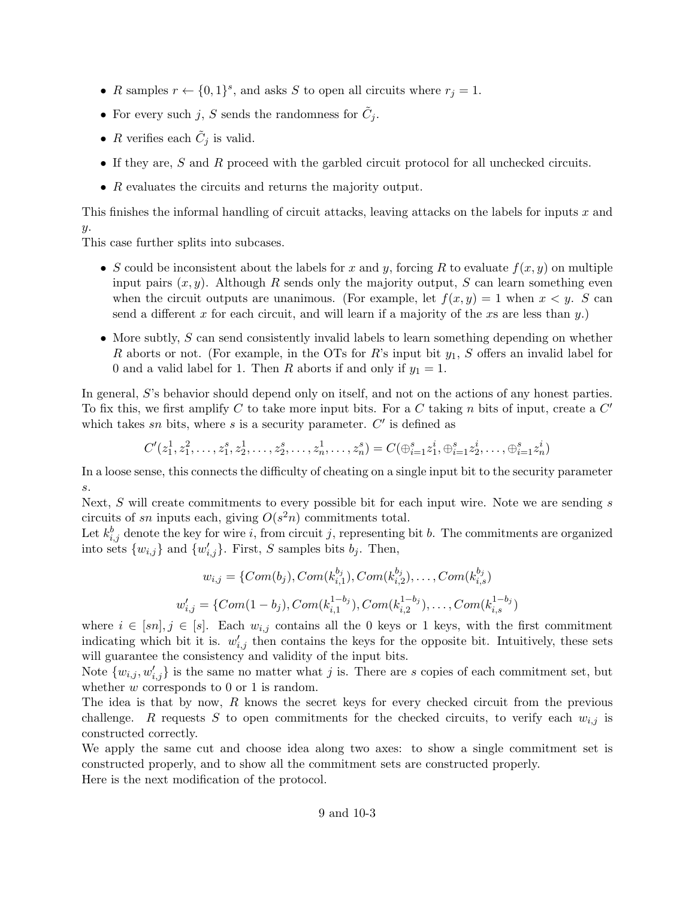- R samples  $r \leftarrow \{0,1\}^s$ , and asks S to open all circuits where  $r_j = 1$ .
- For every such j, S sends the randomness for  $\tilde{C}_j$ .
- R verifies each  $\tilde{C}_j$  is valid.
- If they are, S and R proceed with the garbled circuit protocol for all unchecked circuits.
- R evaluates the circuits and returns the majority output.

This finishes the informal handling of circuit attacks, leaving attacks on the labels for inputs x and  $y$ .

This case further splits into subcases.

- S could be inconsistent about the labels for x and y, forcing R to evaluate  $f(x, y)$  on multiple input pairs  $(x, y)$ . Although R sends only the majority output, S can learn something even when the circuit outputs are unanimous. (For example, let  $f(x, y) = 1$  when  $x < y$ . S can send a different x for each circuit, and will learn if a majority of the xs are less than  $y$ .)
- More subtly, S can send consistently invalid labels to learn something depending on whether R aborts or not. (For example, in the OTs for R's input bit  $y_1$ , S offers an invalid label for 0 and a valid label for 1. Then R aborts if and only if  $y_1 = 1$ .

In general, S's behavior should depend only on itself, and not on the actions of any honest parties. To fix this, we first amplify C to take more input bits. For a C taking n bits of input, create a  $C'$ which takes sn bits, where s is a security parameter.  $C'$  is defined as

$$
C'(z_1^1, z_1^2, \ldots, z_1^s, z_2^1, \ldots, z_2^s, \ldots, z_n^1, \ldots, z_n^s) = C(\oplus_{i=1}^s z_1^i, \oplus_{i=1}^s z_2^i, \ldots, \oplus_{i=1}^s z_n^i)
$$

In a loose sense, this connects the difficulty of cheating on a single input bit to the security parameter s.

Next,  $S$  will create commitments to every possible bit for each input wire. Note we are sending  $s$ circuits of sn inputs each, giving  $O(s^2n)$  commitments total.

Let  $k_{i,j}^b$  denote the key for wire i, from circuit j, representing bit b. The commitments are organized into sets  $\{w_{i,j}\}\$ and  $\{w'_{i,j}\}\$ . First, S samples bits  $b_j$ . Then,

$$
w_{i,j} = \{Com(b_j), Com(k_{i,1}^{b_j}), Com(k_{i,2}^{b_j}), \dots, Com(k_{i,s}^{b_j})
$$

$$
w'_{i,j} = \{Com(1-b_j), Com(k_{i,1}^{1-b_j}), Com(k_{i,2}^{1-b_j}), \dots, Com(k_{i,s}^{1-b_j})
$$

where  $i \in [sn], j \in [s]$ . Each  $w_{i,j}$  contains all the 0 keys or 1 keys, with the first commitment indicating which bit it is.  $w'_{i,j}$  then contains the keys for the opposite bit. Intuitively, these sets will guarantee the consistency and validity of the input bits.

Note  $\{w_{i,j}, w'_{i,j}\}\$ is the same no matter what j is. There are s copies of each commitment set, but whether  $w$  corresponds to 0 or 1 is random.

The idea is that by now, R knows the secret keys for every checked circuit from the previous challenge. R requests S to open commitments for the checked circuits, to verify each  $w_{i,j}$  is constructed correctly.

We apply the same cut and choose idea along two axes: to show a single commitment set is constructed properly, and to show all the commitment sets are constructed properly.

Here is the next modification of the protocol.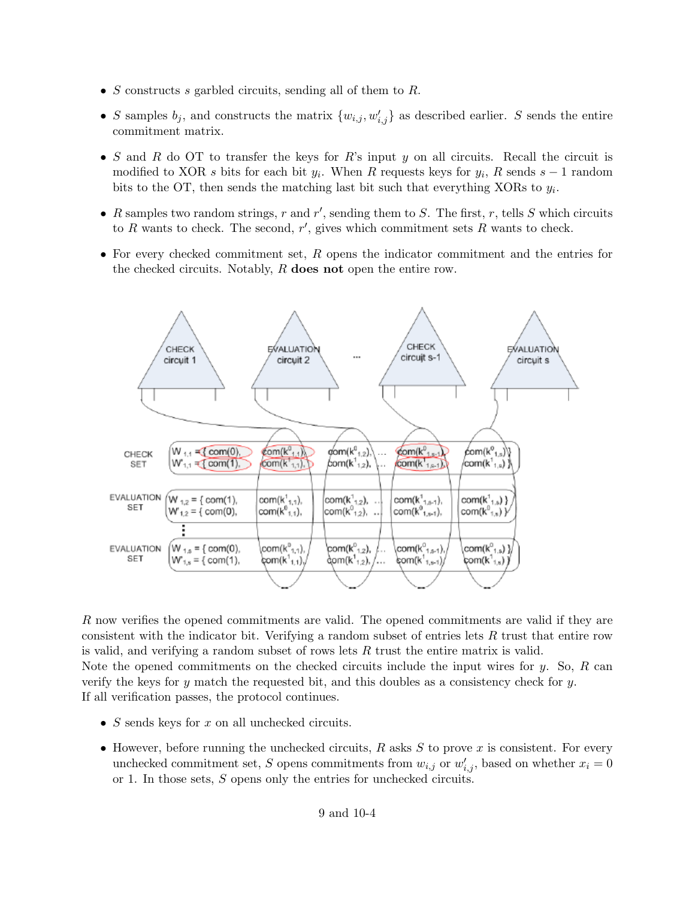- $S$  constructs  $s$  garbled circuits, sending all of them to  $R$ .
- S samples  $b_j$ , and constructs the matrix  $\{w_{i,j}, w'_{i,j}\}$  as described earlier. S sends the entire commitment matrix.
- S and R do OT to transfer the keys for R's input y on all circuits. Recall the circuit is modified to XOR s bits for each bit  $y_i$ . When R requests keys for  $y_i$ , R sends  $s-1$  random bits to the OT, then sends the matching last bit such that everything XORs to  $y_i$ .
- R samples two random strings, r and r', sending them to S. The first, r, tells S which circuits to R wants to check. The second,  $r'$ , gives which commitment sets R wants to check.
- For every checked commitment set,  $R$  opens the indicator commitment and the entries for the checked circuits. Notably, R does not open the entire row.



R now verifies the opened commitments are valid. The opened commitments are valid if they are consistent with the indicator bit. Verifying a random subset of entries lets R trust that entire row is valid, and verifying a random subset of rows lets  $R$  trust the entire matrix is valid. Note the opened commitments on the checked circuits include the input wires for  $y$ . So, R can verify the keys for  $y$  match the requested bit, and this doubles as a consistency check for  $y$ . If all verification passes, the protocol continues.

- $S$  sends keys for  $x$  on all unchecked circuits.
- However, before running the unchecked circuits,  $R$  asks  $S$  to prove  $x$  is consistent. For every unchecked commitment set, S opens commitments from  $w_{i,j}$  or  $w'_{i,j}$ , based on whether  $x_i = 0$ or 1. In those sets, S opens only the entries for unchecked circuits.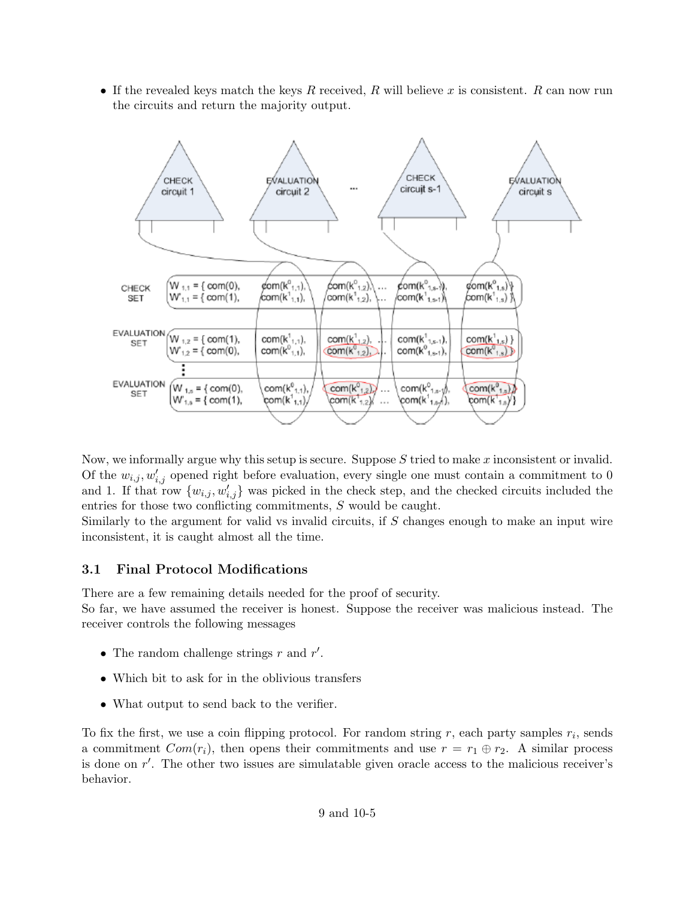• If the revealed keys match the keys R received, R will believe x is consistent. R can now run the circuits and return the majority output.



Now, we informally argue why this setup is secure. Suppose  $S$  tried to make  $x$  inconsistent or invalid. Of the  $w_{i,j}, w'_{i,j}$  opened right before evaluation, every single one must contain a commitment to 0 and 1. If that row  $\{w_{i,j}, w'_{i,j}\}$  was picked in the check step, and the checked circuits included the entries for those two conflicting commitments, S would be caught.

Similarly to the argument for valid vs invalid circuits, if S changes enough to make an input wire inconsistent, it is caught almost all the time.

#### 3.1 Final Protocol Modifications

There are a few remaining details needed for the proof of security.

So far, we have assumed the receiver is honest. Suppose the receiver was malicious instead. The receiver controls the following messages

- The random challenge strings  $r$  and  $r'$ .
- Which bit to ask for in the oblivious transfers
- What output to send back to the verifier.

To fix the first, we use a coin flipping protocol. For random string  $r$ , each party samples  $r_i$ , sends a commitment  $Com(r_i)$ , then opens their commitments and use  $r = r_1 \oplus r_2$ . A similar process is done on  $r'$ . The other two issues are simulatable given oracle access to the malicious receiver's behavior.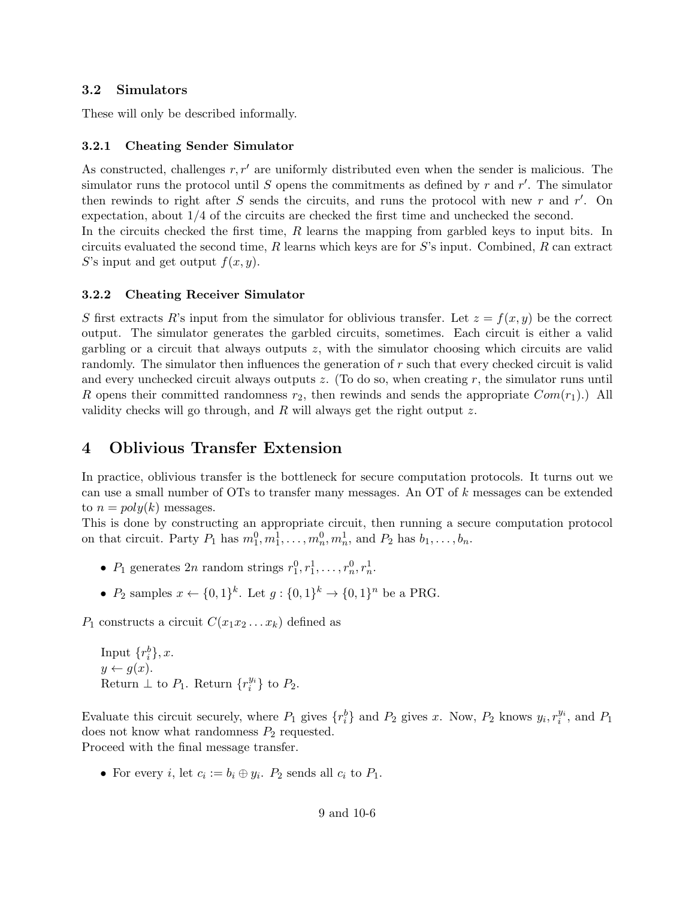#### 3.2 Simulators

These will only be described informally.

#### 3.2.1 Cheating Sender Simulator

As constructed, challenges  $r, r'$  are uniformly distributed even when the sender is malicious. The simulator runs the protocol until S opens the commitments as defined by r and r'. The simulator then rewinds to right after  $S$  sends the circuits, and runs the protocol with new  $r$  and  $r'$ . On expectation, about 1/4 of the circuits are checked the first time and unchecked the second. In the circuits checked the first time,  $R$  learns the mapping from garbled keys to input bits. In circuits evaluated the second time,  $R$  learns which keys are for  $S$ 's input. Combined,  $R$  can extract S's input and get output  $f(x, y)$ .

#### 3.2.2 Cheating Receiver Simulator

S first extracts R's input from the simulator for oblivious transfer. Let  $z = f(x, y)$  be the correct output. The simulator generates the garbled circuits, sometimes. Each circuit is either a valid garbling or a circuit that always outputs z, with the simulator choosing which circuits are valid randomly. The simulator then influences the generation of r such that every checked circuit is valid and every unchecked circuit always outputs  $z$ . (To do so, when creating  $r$ , the simulator runs until R opens their committed randomness  $r_2$ , then rewinds and sends the appropriate  $Com(r_1)$ .) All validity checks will go through, and  $R$  will always get the right output  $z$ .

### 4 Oblivious Transfer Extension

In practice, oblivious transfer is the bottleneck for secure computation protocols. It turns out we can use a small number of OTs to transfer many messages. An OT of k messages can be extended to  $n = poly(k)$  messages.

This is done by constructing an appropriate circuit, then running a secure computation protocol on that circuit. Party  $P_1$  has  $m_1^0, m_1^1, \ldots, m_n^0, m_n^1$ , and  $P_2$  has  $b_1, \ldots, b_n$ .

- $P_1$  generates  $2n$  random strings  $r_1^0, r_1^1, \ldots, r_n^0, r_n^1$ .
- $P_2$  samples  $x \leftarrow \{0,1\}^k$ . Let  $g: \{0,1\}^k \to \{0,1\}^n$  be a PRG.

 $P_1$  constructs a circuit  $C(x_1x_2 \ldots x_k)$  defined as

Input  $\{r_i^b\}, x$ .  $y \leftarrow g(x)$ . Return  $\perp$  to  $P_1$ . Return  $\{r_i^{y_i}\}$  to  $P_2$ .

Evaluate this circuit securely, where  $P_1$  gives  $\{r_i^b\}$  and  $P_2$  gives x. Now,  $P_2$  knows  $y_i, r_i^{y_i}$ , and  $P_1$ does not know what randomness  $P_2$  requested. Proceed with the final message transfer.

• For every *i*, let  $c_i := b_i \oplus y_i$ .  $P_2$  sends all  $c_i$  to  $P_1$ .